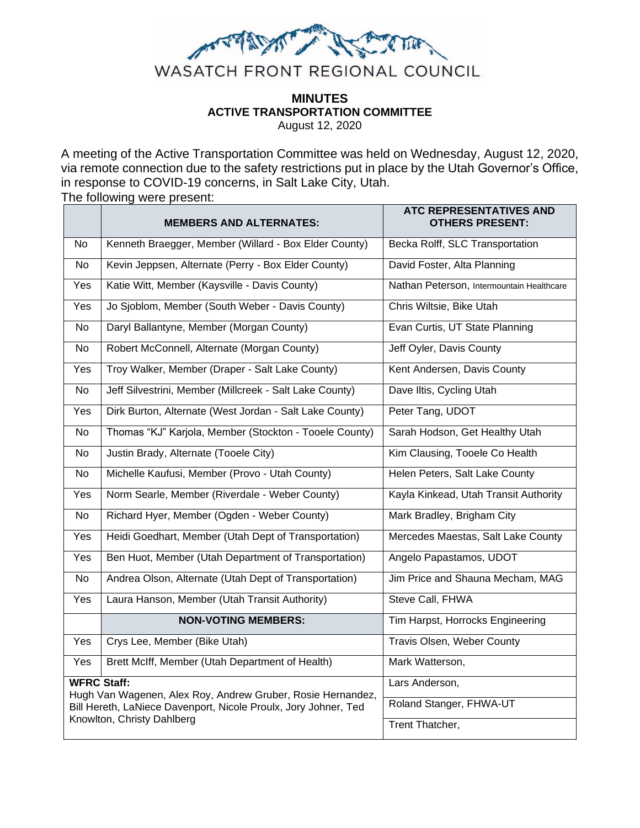

# **MINUTES ACTIVE TRANSPORTATION COMMITTEE**

August 12, 2020

A meeting of the Active Transportation Committee was held on Wednesday, August 12, 2020, via remote connection due to the safety restrictions put in place by the Utah Governor's Office, in response to COVID-19 concerns, in Salt Lake City, Utah.

The following were present:

|                                                                                               | <b>MEMBERS AND ALTERNATES:</b>                          | <b>ATC REPRESENTATIVES AND</b><br><b>OTHERS PRESENT:</b> |
|-----------------------------------------------------------------------------------------------|---------------------------------------------------------|----------------------------------------------------------|
| No                                                                                            | Kenneth Braegger, Member (Willard - Box Elder County)   | Becka Rolff, SLC Transportation                          |
| <b>No</b>                                                                                     | Kevin Jeppsen, Alternate (Perry - Box Elder County)     | David Foster, Alta Planning                              |
| Yes                                                                                           | Katie Witt, Member (Kaysville - Davis County)           | Nathan Peterson, Intermountain Healthcare                |
| <b>Yes</b>                                                                                    | Jo Sjoblom, Member (South Weber - Davis County)         | Chris Wiltsie, Bike Utah                                 |
| No                                                                                            | Daryl Ballantyne, Member (Morgan County)                | Evan Curtis, UT State Planning                           |
| No                                                                                            | Robert McConnell, Alternate (Morgan County)             | Jeff Oyler, Davis County                                 |
| Yes                                                                                           | Troy Walker, Member (Draper - Salt Lake County)         | Kent Andersen, Davis County                              |
| No.                                                                                           | Jeff Silvestrini, Member (Millcreek - Salt Lake County) | Dave Iltis, Cycling Utah                                 |
| Yes                                                                                           | Dirk Burton, Alternate (West Jordan - Salt Lake County) | Peter Tang, UDOT                                         |
| <b>No</b>                                                                                     | Thomas "KJ" Karjola, Member (Stockton - Tooele County)  | Sarah Hodson, Get Healthy Utah                           |
| <b>No</b>                                                                                     | Justin Brady, Alternate (Tooele City)                   | Kim Clausing, Tooele Co Health                           |
| <b>No</b>                                                                                     | Michelle Kaufusi, Member (Provo - Utah County)          | Helen Peters, Salt Lake County                           |
| Yes                                                                                           | Norm Searle, Member (Riverdale - Weber County)          | Kayla Kinkead, Utah Transit Authority                    |
| No.                                                                                           | Richard Hyer, Member (Ogden - Weber County)             | Mark Bradley, Brigham City                               |
| Yes                                                                                           | Heidi Goedhart, Member (Utah Dept of Transportation)    | Mercedes Maestas, Salt Lake County                       |
| Yes                                                                                           | Ben Huot, Member (Utah Department of Transportation)    | Angelo Papastamos, UDOT                                  |
| No                                                                                            | Andrea Olson, Alternate (Utah Dept of Transportation)   | Jim Price and Shauna Mecham, MAG                         |
| Yes                                                                                           | Laura Hanson, Member (Utah Transit Authority)           | Steve Call, FHWA                                         |
|                                                                                               | <b>NON-VOTING MEMBERS:</b>                              | Tim Harpst, Horrocks Engineering                         |
| Yes                                                                                           | Crys Lee, Member (Bike Utah)                            | Travis Olsen, Weber County                               |
| Yes                                                                                           | Brett McIff, Member (Utah Department of Health)         | Mark Watterson,                                          |
| <b>WFRC Staff:</b><br>Hugh Van Wagenen, Alex Roy, Andrew Gruber, Rosie Hernandez,             |                                                         | Lars Anderson,                                           |
| Bill Hereth, LaNiece Davenport, Nicole Proulx, Jory Johner, Ted<br>Knowlton, Christy Dahlberg |                                                         | Roland Stanger, FHWA-UT                                  |
|                                                                                               |                                                         | Trent Thatcher,                                          |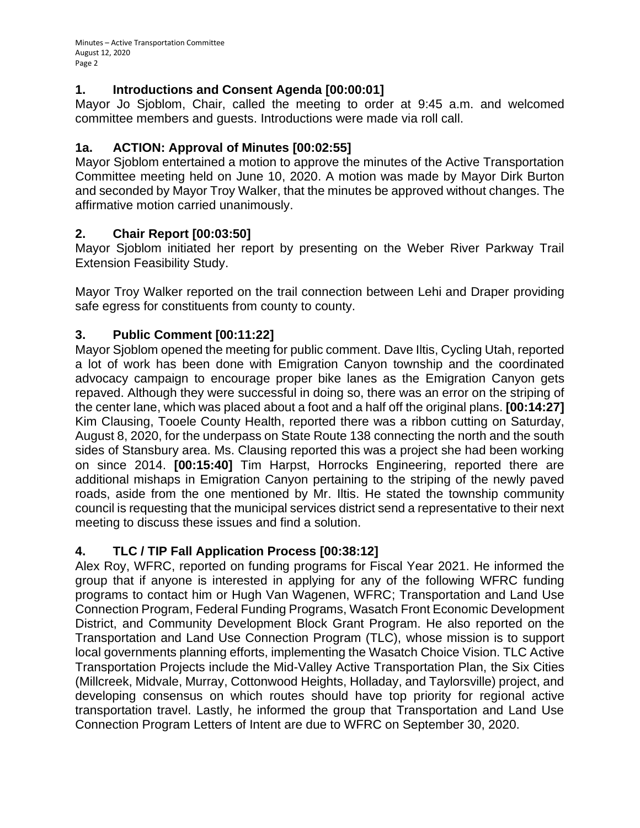#### **1. Introductions and Consent Agenda [00:00:01]**

Mayor Jo Sjoblom, Chair, called the meeting to order at 9:45 a.m. and welcomed committee members and guests. Introductions were made via roll call.

#### **1a. ACTION: Approval of Minutes [00:02:55]**

Mayor Sjoblom entertained a motion to approve the minutes of the Active Transportation Committee meeting held on June 10, 2020. A motion was made by Mayor Dirk Burton and seconded by Mayor Troy Walker, that the minutes be approved without changes. The affirmative motion carried unanimously.

#### **2. Chair Report [00:03:50]**

Mayor Sjoblom initiated her report by presenting on the Weber River Parkway Trail Extension Feasibility Study.

Mayor Troy Walker reported on the trail connection between Lehi and Draper providing safe egress for constituents from county to county.

## **3. Public Comment [00:11:22]**

Mayor Sjoblom opened the meeting for public comment. Dave Iltis, Cycling Utah, reported a lot of work has been done with Emigration Canyon township and the coordinated advocacy campaign to encourage proper bike lanes as the Emigration Canyon gets repaved. Although they were successful in doing so, there was an error on the striping of the center lane, which was placed about a foot and a half off the original plans. **[00:14:27]**  Kim Clausing, Tooele County Health, reported there was a ribbon cutting on Saturday, August 8, 2020, for the underpass on State Route 138 connecting the north and the south sides of Stansbury area. Ms. Clausing reported this was a project she had been working on since 2014. **[00:15:40]** Tim Harpst, Horrocks Engineering, reported there are additional mishaps in Emigration Canyon pertaining to the striping of the newly paved roads, aside from the one mentioned by Mr. Iltis. He stated the township community council is requesting that the municipal services district send a representative to their next meeting to discuss these issues and find a solution.

## **4. TLC / TIP Fall Application Process [00:38:12]**

Alex Roy, WFRC, reported on funding programs for Fiscal Year 2021. He informed the group that if anyone is interested in applying for any of the following WFRC funding programs to contact him or Hugh Van Wagenen, WFRC; Transportation and Land Use Connection Program, Federal Funding Programs, Wasatch Front Economic Development District, and Community Development Block Grant Program. He also reported on the Transportation and Land Use Connection Program (TLC), whose mission is to support local governments planning efforts, implementing the Wasatch Choice Vision. TLC Active Transportation Projects include the Mid-Valley Active Transportation Plan, the Six Cities (Millcreek, Midvale, Murray, Cottonwood Heights, Holladay, and Taylorsville) project, and developing consensus on which routes should have top priority for regional active transportation travel. Lastly, he informed the group that Transportation and Land Use Connection Program Letters of Intent are due to WFRC on September 30, 2020.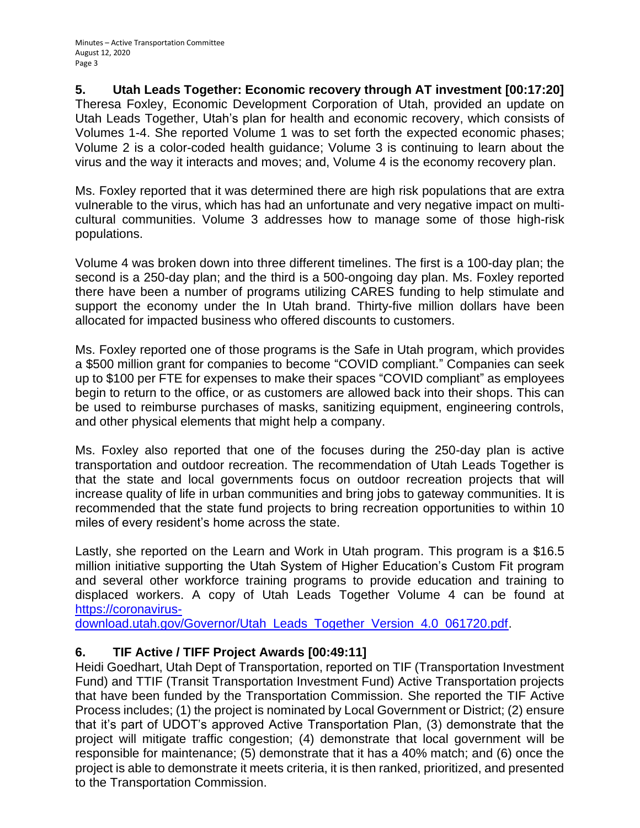#### **5. Utah Leads Together: Economic recovery through AT investment [00:17:20]**

Theresa Foxley, Economic Development Corporation of Utah, provided an update on Utah Leads Together, Utah's plan for health and economic recovery, which consists of Volumes 1-4. She reported Volume 1 was to set forth the expected economic phases; Volume 2 is a color-coded health guidance; Volume 3 is continuing to learn about the virus and the way it interacts and moves; and, Volume 4 is the economy recovery plan.

Ms. Foxley reported that it was determined there are high risk populations that are extra vulnerable to the virus, which has had an unfortunate and very negative impact on multicultural communities. Volume 3 addresses how to manage some of those high-risk populations.

Volume 4 was broken down into three different timelines. The first is a 100-day plan; the second is a 250-day plan; and the third is a 500-ongoing day plan. Ms. Foxley reported there have been a number of programs utilizing CARES funding to help stimulate and support the economy under the In Utah brand. Thirty-five million dollars have been allocated for impacted business who offered discounts to customers.

Ms. Foxley reported one of those programs is the Safe in Utah program, which provides a \$500 million grant for companies to become "COVID compliant." Companies can seek up to \$100 per FTE for expenses to make their spaces "COVID compliant" as employees begin to return to the office, or as customers are allowed back into their shops. This can be used to reimburse purchases of masks, sanitizing equipment, engineering controls, and other physical elements that might help a company.

Ms. Foxley also reported that one of the focuses during the 250-day plan is active transportation and outdoor recreation. The recommendation of Utah Leads Together is that the state and local governments focus on outdoor recreation projects that will increase quality of life in urban communities and bring jobs to gateway communities. It is recommended that the state fund projects to bring recreation opportunities to within 10 miles of every resident's home across the state.

Lastly, she reported on the Learn and Work in Utah program. This program is a \$16.5 million initiative supporting the Utah System of Higher Education's Custom Fit program and several other workforce training programs to provide education and training to displaced workers. A copy of Utah Leads Together Volume 4 can be found at [https://coronavirus-](https://coronavirus-download.utah.gov/Governor/Utah_Leads_Together_Version_4.0_061720.pdf)

[download.utah.gov/Governor/Utah\\_Leads\\_Together\\_Version\\_4.0\\_061720.pdf.](https://coronavirus-download.utah.gov/Governor/Utah_Leads_Together_Version_4.0_061720.pdf)

## **6. TIF Active / TIFF Project Awards [00:49:11]**

Heidi Goedhart, Utah Dept of Transportation, reported on TIF (Transportation Investment Fund) and TTIF (Transit Transportation Investment Fund) Active Transportation projects that have been funded by the Transportation Commission. She reported the TIF Active Process includes; (1) the project is nominated by Local Government or District; (2) ensure that it's part of UDOT's approved Active Transportation Plan, (3) demonstrate that the project will mitigate traffic congestion; (4) demonstrate that local government will be responsible for maintenance; (5) demonstrate that it has a 40% match; and (6) once the project is able to demonstrate it meets criteria, it is then ranked, prioritized, and presented to the Transportation Commission.